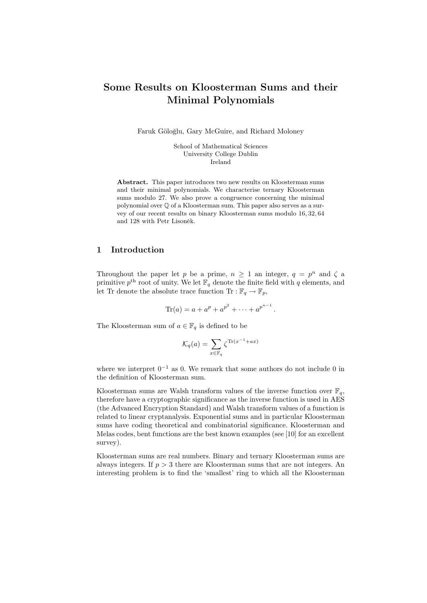# Some Results on Kloosterman Sums and their Minimal Polynomials

Faruk Göloğlu, Gary McGuire, and Richard Moloney

School of Mathematical Sciences University College Dublin Ireland

Abstract. This paper introduces two new results on Kloosterman sums and their minimal polynomials. We characterise ternary Kloosterman sums modulo 27. We also prove a congruence concerning the minimal polynomial over Q of a Kloosterman sum. This paper also serves as a survey of our recent results on binary Kloosterman sums modulo 16, 32, 64 and 128 with Petr Lisoněk.

# 1 Introduction

Throughout the paper let p be a prime,  $n \geq 1$  an integer,  $q = p^n$  and  $\zeta$  and primitive  $p<sup>th</sup>$  root of unity. We let  $\mathbb{F}_q$  denote the finite field with q elements, and let Tr denote the absolute trace function Tr :  $\mathbb{F}_q \to \mathbb{F}_p$ ,

$$
\text{Tr}(a) = a + a^p + a^{p^2} + \dots + a^{p^{n-1}}.
$$

The Kloosterman sum of  $a \in \mathbb{F}_q$  is defined to be

$$
\mathcal{K}_q(a) = \sum_{x \in \mathbb{F}_q} \zeta^{\text{Tr}(x^{-1} + ax)}
$$

where we interpret  $0^{-1}$  as 0. We remark that some authors do not include 0 in the definition of Kloosterman sum.

Kloosterman sums are Walsh transform values of the inverse function over  $\mathbb{F}_q$ , therefore have a cryptographic significance as the inverse function is used in AES (the Advanced Encryption Standard) and Walsh transform values of a function is related to linear cryptanalysis. Exponential sums and in particular Kloosterman sums have coding theoretical and combinatorial significance. Kloosterman and Melas codes, bent functions are the best known examples (see [10] for an excellent survey).

Kloosterman sums are real numbers. Binary and ternary Kloosterman sums are always integers. If  $p > 3$  there are Kloosterman sums that are not integers. An interesting problem is to find the 'smallest' ring to which all the Kloosterman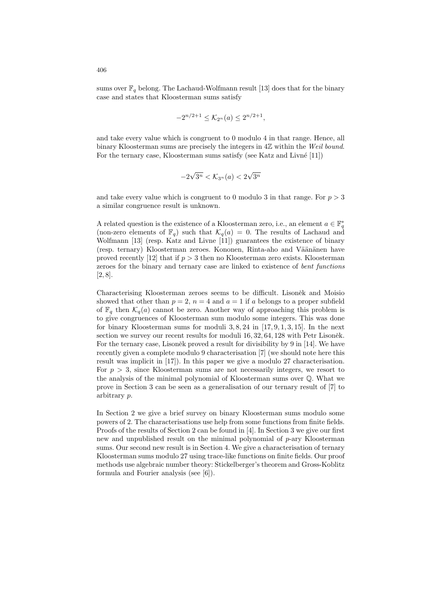sums over  $\mathbb{F}_q$  belong. The Lachaud-Wolfmann result [13] does that for the binary case and states that Kloosterman sums satisfy

$$
-2^{n/2+1} \leq \mathcal{K}_{2^n}(a) \leq 2^{n/2+1},
$$

and take every value which is congruent to 0 modulo 4 in that range. Hence, all binary Kloosterman sums are precisely the integers in  $4\mathbb{Z}$  within the Weil bound. For the ternary case, Kloosterman sums satisfy (see Katz and Livné  $[11]$ )

$$
-2\sqrt{3^n} < \mathcal{K}_{3^n}(a) < 2\sqrt{3^n}
$$

and take every value which is congruent to 0 modulo 3 in that range. For  $p > 3$ a similar congruence result is unknown.

A related question is the existence of a Kloosterman zero, i.e., an element  $a \in \mathbb{F}_q^*$ (non-zero elements of  $\mathbb{F}_q$ ) such that  $\mathcal{K}_q(a) = 0$ . The results of Lachaud and Wolfmann [13] (resp. Katz and Livne [11]) guarantees the existence of binary (resp. ternary) Kloosterman zeroes. Kononen, Rinta-aho and Väänänen have proved recently [12] that if  $p > 3$  then no Kloosterman zero exists. Kloosterman zeroes for the binary and ternary case are linked to existence of *bent functions* [2, 8].

Characterising Kloosterman zeroes seems to be difficult. Lisoněk and Moisio showed that other than  $p = 2$ ,  $n = 4$  and  $a = 1$  if a belongs to a proper subfield of  $\mathbb{F}_q$  then  $\mathcal{K}_q(a)$  cannot be zero. Another way of approaching this problem is to give congruences of Kloosterman sum modulo some integers. This was done for binary Kloosterman sums for moduli  $3, 8, 24$  in [17, 9, 1, 3, 15]. In the next section we survey our recent results for moduli  $16, 32, 64, 128$  with Petr Lisoněk. For the ternary case, Lisoněk proved a result for divisibility by 9 in [14]. We have recently given a complete modulo 9 characterisation [7] (we should note here this result was implicit in [17]). In this paper we give a modulo 27 characterisation. For  $p > 3$ , since Kloosterman sums are not necessarily integers, we resort to the analysis of the minimal polynomial of Kloosterman sums over Q. What we prove in Section 3 can be seen as a generalisation of our ternary result of [7] to arbitrary p.

In Section 2 we give a brief survey on binary Kloosterman sums modulo some powers of 2. The characterisations use help from some functions from finite fields. Proofs of the results of Section 2 can be found in [4]. In Section 3 we give our first new and unpublished result on the minimal polynomial of  $p$ -ary Kloosterman sums. Our second new result is in Section 4. We give a characterisation of ternary Kloosterman sums modulo 27 using trace-like functions on finite fields. Our proof methods use algebraic number theory: Stickelberger's theorem and Gross-Koblitz formula and Fourier analysis (see [6]).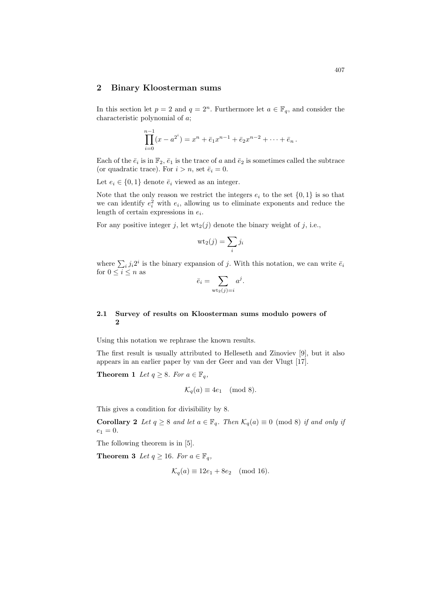# 2 Binary Kloosterman sums

In this section let  $p = 2$  and  $q = 2<sup>n</sup>$ . Furthermore let  $a \in \mathbb{F}_q$ , and consider the characteristic polynomial of a;

$$
\prod_{i=0}^{n-1} (x - a^{2^i}) = x^n + \bar{e}_1 x^{n-1} + \bar{e}_2 x^{n-2} + \dots + \bar{e}_n.
$$

Each of the  $\bar{e}_i$  is in  $\mathbb{F}_2$ ,  $\bar{e}_1$  is the trace of a and  $\bar{e}_2$  is sometimes called the subtrace (or quadratic trace). For  $i > n$ , set  $\bar{e}_i = 0$ .

Let  $e_i \in \{0,1\}$  denote  $\bar{e}_i$  viewed as an integer.

Note that the only reason we restrict the integers  $e_i$  to the set  $\{0,1\}$  is so that we can identify  $e_i^2$  with  $e_i$ , allowing us to eliminate exponents and reduce the length of certain expressions in  $e_i$ .

For any positive integer j, let  $wt_2(j)$  denote the binary weight of j, i.e.,

$$
\mathrm{wt}_2(j)=\sum_i j_i
$$

where  $\sum_i j_i 2^i$  is the binary expansion of j. With this notation, we can write  $\bar{e}_i$ for  $0\leq i\leq n$  as

$$
\bar{e}_i = \sum_{\text{wt}_2(j)=i} a^j.
$$

# 2.1 Survey of results on Kloosterman sums modulo powers of 2

Using this notation we rephrase the known results.

The first result is usually attributed to Helleseth and Zinoviev [9], but it also appears in an earlier paper by van der Geer and van der Vlugt [17].

**Theorem 1** Let  $q \geq 8$ . For  $a \in \mathbb{F}_q$ ,

$$
\mathcal{K}_q(a) \equiv 4e_1 \pmod{8}.
$$

This gives a condition for divisibility by 8.

**Corollary 2** Let  $q \ge 8$  and let  $a \in \mathbb{F}_q$ . Then  $\mathcal{K}_q(a) \equiv 0 \pmod{8}$  if and only if  $e_1 = 0.$ 

The following theorem is in [5].

**Theorem 3** Let  $q \ge 16$ . For  $a \in \mathbb{F}_q$ ,

$$
\mathcal{K}_q(a) \equiv 12e_1 + 8e_2 \pmod{16}.
$$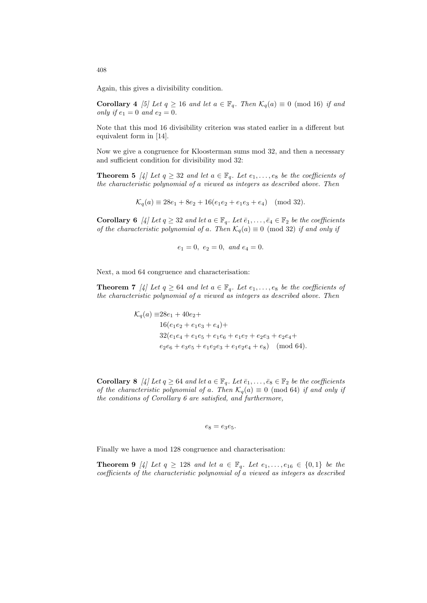Again, this gives a divisibility condition.

**Corollary 4** [5] Let  $q \ge 16$  and let  $a \in \mathbb{F}_q$ . Then  $\mathcal{K}_q(a) \equiv 0 \pmod{16}$  if and only if  $e_1 = 0$  and  $e_2 = 0$ .

Note that this mod 16 divisibility criterion was stated earlier in a different but equivalent form in [14].

Now we give a congruence for Kloosterman sums mod 32, and then a necessary and sufficient condition for divisibility mod 32:

**Theorem 5** [4] Let  $q \geq 32$  and let  $a \in \mathbb{F}_q$ . Let  $e_1, \ldots, e_8$  be the coefficients of the characteristic polynomial of a viewed as integers as described above. Then

$$
\mathcal{K}_q(a) \equiv 28e_1 + 8e_2 + 16(e_1e_2 + e_1e_3 + e_4) \pmod{32}.
$$

Corollary 6 [4] Let  $q \geq 32$  and let  $a \in \mathbb{F}_q$ . Let  $\bar{e}_1, \ldots, \bar{e}_4 \in \mathbb{F}_2$  be the coefficients of the characteristic polynomial of a. Then  $\mathcal{K}_q(a) \equiv 0 \pmod{32}$  if and only if

$$
e_1 = 0, \ e_2 = 0, \ and \ e_4 = 0.
$$

Next, a mod 64 congruence and characterisation:

**Theorem 7** [4] Let  $q \ge 64$  and let  $a \in \mathbb{F}_q$ . Let  $e_1, \ldots, e_8$  be the coefficients of the characteristic polynomial of a viewed as integers as described above. Then

> $\mathcal{K}_q(a) \equiv 28e_1 + 40e_2 +$  $16(e_1e_2 + e_1e_3 + e_4) +$  $32(e_1e_4 + e_1e_5 + e_1e_6 + e_1e_7 + e_2e_3 + e_2e_4 +$  $e_2e_6 + e_3e_5 + e_1e_2e_3 + e_1e_2e_4 + e_8$  (mod 64).

Corollary 8 [4] Let  $q \ge 64$  and let  $a \in \mathbb{F}_q$ . Let  $\bar{e}_1, \ldots, \bar{e}_8 \in \mathbb{F}_2$  be the coefficients of the characteristic polynomial of a. Then  $\mathcal{K}_q(a) \equiv 0 \pmod{64}$  if and only if the conditions of Corollary 6 are satisfied, and furthermore,

$$
e_8=e_3e_5.
$$

Finally we have a mod 128 congruence and characterisation:

**Theorem 9** [4] Let  $q \ge 128$  and let  $a \in \mathbb{F}_q$ . Let  $e_1, \ldots, e_{16} \in \{0,1\}$  be the coefficients of the characteristic polynomial of a viewed as integers as described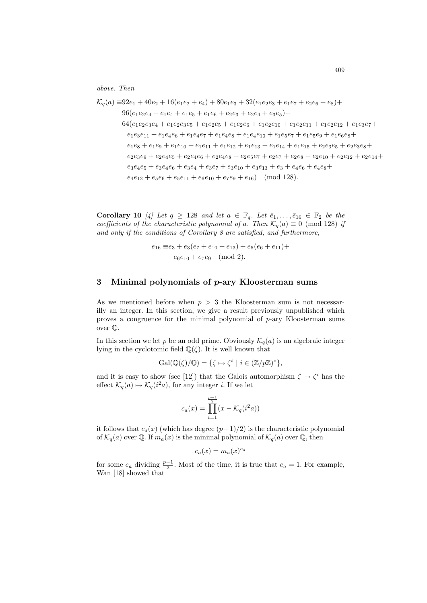above. Then

 $\mathcal{K}_q(a) \equiv 92e_1 + 40e_2 + 16(e_1e_2 + e_4) + 80e_1e_3 + 32(e_1e_2e_3 + e_1e_7 + e_2e_6 + e_8) +$  $96(e_1e_2e_4 + e_1e_4 + e_1e_5 + e_1e_6 + e_2e_3 + e_2e_4 + e_3e_5) +$  $64(e_1e_2e_3e_4 + e_1e_2e_3e_5 + e_1e_2e_5 + e_1e_2e_6 + e_1e_2e_{10} + e_1e_2e_{11} + e_1e_2e_{12} + e_1e_3e_7 +$  $e_1e_3e_{11} + e_1e_4e_6 + e_1e_4e_7 + e_1e_4e_8 + e_1e_4e_{10} + e_1e_5e_7 + e_1e_5e_9 + e_1e_6e_8 +$  $e_1e_8 + e_1e_9 + e_1e_{10} + e_1e_{11} + e_1e_{12} + e_1e_{13} + e_1e_{14} + e_1e_{15} + e_2e_3e_5 + e_2e_3e_8 +$  $e_2e_3e_9 + e_2e_4e_5 + e_2e_4e_6 + e_2e_4e_8 + e_2e_5e_7 + e_2e_7 + e_2e_8 + e_2e_{10} + e_2e_{12} + e_2e_{14}+$  $e_3e_4e_5 + e_3e_4e_6 + e_3e_4 + e_3e_7 + e_3e_{10} + e_3e_{13} + e_3 + e_4e_6 + e_4e_8 +$  $e_4e_{12} + e_5e_6 + e_5e_{11} + e_6e_{10} + e_7e_9 + e_{16}$  (mod 128).

Corollary 10 [4] Let  $q \ge 128$  and let  $a \in \mathbb{F}_q$ . Let  $\bar{e}_1, \ldots, \bar{e}_{16} \in \mathbb{F}_2$  be the coefficients of the characteristic polynomial of a. Then  $\mathcal{K}_q(a) \equiv 0 \pmod{128}$  if and only if the conditions of Corollary 8 are satisfied, and furthermore,

$$
e_{16} \equiv e_3 + e_3(e_7 + e_{10} + e_{13}) + e_5(e_6 + e_{11}) +
$$
  

$$
e_6e_{10} + e_7e_9 \pmod{2}.
$$

# 3 Minimal polynomials of p-ary Kloosterman sums

As we mentioned before when  $p > 3$  the Kloosterman sum is not necessarilly an integer. In this section, we give a result previously unpublished which proves a congruence for the minimal polynomial of  $p$ -ary Kloosterman sums over Q.

In this section we let p be an odd prime. Obviously  $\mathcal{K}_q(a)$  is an algebraic integer lying in the cyclotomic field  $\mathbb{Q}(\zeta)$ . It is well known that

$$
\mathrm{Gal}(\mathbb{Q}(\zeta)/\mathbb{Q}) = \{ \zeta \mapsto \zeta^i \mid i \in (\mathbb{Z}/p\mathbb{Z})^* \},
$$

and it is easy to show (see [12]) that the Galois automorphism  $\zeta \mapsto \zeta^i$  has the effect  $\mathcal{K}_q(a) \mapsto \mathcal{K}_q(i^2a)$ , for any integer *i*. If we let

$$
c_a(x)=\prod_{i=1}^{\frac{p-1}{2}}(x-\mathcal{K}_q(i^2a))
$$

it follows that  $c_a(x)$  (which has degree  $(p-1)/2$ ) is the characteristic polynomial of  $\mathcal{K}_q(a)$  over Q. If  $m_a(x)$  is the minimal polynomial of  $\mathcal{K}_q(a)$  over Q, then

$$
c_a(x) = m_a(x)^{e_a}
$$

for some  $e_a$  dividing  $\frac{p-1}{2}$ . Most of the time, it is true that  $e_a = 1$ . For example, Wan [18] showed that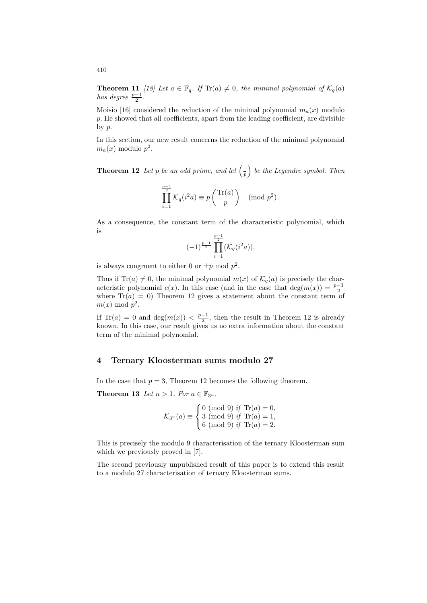**Theorem 11** [18] Let  $a \in \mathbb{F}_q$ . If  $\text{Tr}(a) \neq 0$ , the minimal polynomial of  $\mathcal{K}_q(a)$ has degree  $\frac{p-1}{2}$ .

Moisio [16] considered the reduction of the minimal polynomial  $m_a(x)$  modulo p. He showed that all coefficients, apart from the leading coefficient, are divisible by p.

In this section, our new result concerns the reduction of the minimal polynomial  $m_a(x)$  modulo  $p^2$ .

**Theorem 12** Let p be an odd prime, and let  $\left(\frac{1}{r}\right)$  $\frac{1}{p}$ ) be the Legendre symbol. Then

$$
\prod_{i=1}^{\frac{p-1}{2}} \mathcal{K}_q(i^2 a) \equiv p\left(\frac{\text{Tr}(a)}{p}\right) \pmod{p^2}.
$$

As a consequence, the constant term of the characteristic polynomial, which is

$$
(-1)^{\frac{p-1}{2}}\prod_{i=1}^{\frac{p-1}{2}}(\mathcal{K}_q(i^2a)),
$$

is always congruent to either 0 or  $\pm p \mod p^2$ .

Thus if Tr(a)  $\neq 0$ , the minimal polynomial  $m(x)$  of  $\mathcal{K}_q(a)$  is precisely the characteristic polynomial  $c(x)$ . In this case (and in the case that deg( $m(x)$ ) =  $\frac{p-1}{2}$ where  $Tr(a) = 0$ ) Theorem 12 gives a statement about the constant term of  $m(x) \bmod p^2$ .

If  $\text{Tr}(a) = 0$  and  $\deg(m(x)) < \frac{p-1}{2}$ , then the result in Theorem 12 is already known. In this case, our result gives us no extra information about the constant term of the minimal polynomial.

# 4 Ternary Kloosterman sums modulo 27

In the case that  $p = 3$ , Theorem 12 becomes the following theorem.

Theorem 13 Let  $n > 1$ . For  $a \in \mathbb{F}_{3^n}$ ,

$$
\mathcal{K}_{3^n}(a) \equiv \begin{cases} 0 \pmod{9} & \text{if } \text{Tr}(a) = 0, \\ 3 \pmod{9} & \text{if } \text{Tr}(a) = 1, \\ 6 \pmod{9} & \text{if } \text{Tr}(a) = 2. \end{cases}
$$

This is precisely the modulo 9 characterisation of the ternary Kloosterman sum which we previously proved in [7].

The second previously unpublished result of this paper is to extend this result to a modulo 27 characterisation of ternary Kloosterman sums.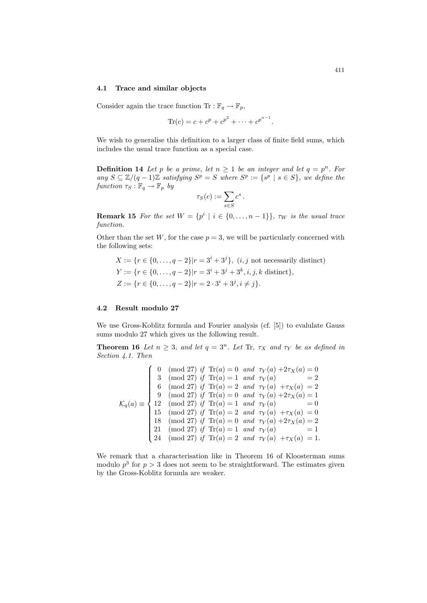#### 4.1 Trace and similar objects

Consider again the trace function  $\text{Tr}: \mathbb{F}_q \to \mathbb{F}_p$ ,

$$
\text{Tr}(c) = c + c^p + c^{p^2} + \dots + c^{p^{n-1}}.
$$

We wish to generalise this definition to a larger class of finite field sums, which includes the usual trace function as a special case.

**Definition 14** Let p be a prime, let  $n \geq 1$  be an integer and let  $q = p^n$ . For any  $S \subseteq \mathbb{Z}/(q-1)\mathbb{Z}$  satisfying  $S^p = S$  where  $S^p := \{s^p \mid s \in S\}$ , we define the function  $\tau_S : \mathbb{F}_q \to \mathbb{F}_p$  by

$$
\tau_S(c) := \sum_{s \in S} c^s.
$$

**Remark 15** For the set  $W = \{p^i \mid i \in \{0, ..., n-1\}\}\$ ,  $\tau_W$  is the usual trace function.

Other than the set  $W$ , for the case  $p = 3$ , we will be particularly concerned with the following sets:

 $X := \{r \in \{0, ..., q - 2\} | r = 3^{i} + 3^{j}\}, (i, j \text{ not necessarily distinct})\}$  $Y := \{r \in \{0, \ldots, q-2\} | r = 3^i + 3^j + 3^k, i, j, k \text{ distinct}\},\$  $Z := \{r \in \{0, \ldots, q-2\} | r = 2 \cdot 3^i + 3^j, i \neq j\}.$ 

### 4.2 Result modulo 27

We use Gross-Koblitz formula and Fourier analysis (cf. [5]) to evalulate Gauss sums modulo 27 which gives us the following result.

**Theorem 16** Let  $n \geq 3$ , and let  $q = 3^n$ . Let Tr,  $\tau_X$  and  $\tau_Y$  be as defined in Section 4.1. Then

$$
\mathcal{K}_q(a) \equiv \begin{cases}\n0 \pmod{27} & \text{if } \text{Tr}(a) = 0 \text{ and } \tau_Y(a) + 2\tau_X(a) = 0 \\
3 \pmod{27} & \text{if } \text{Tr}(a) = 1 \text{ and } \tau_Y(a) & = 2 \\
6 \pmod{27} & \text{if } \text{Tr}(a) = 2 \text{ and } \tau_Y(a) + \tau_X(a) = 2 \\
9 \pmod{27} & \text{if } \text{Tr}(a) = 0 \text{ and } \tau_Y(a) + 2\tau_X(a) = 1 \\
12 \pmod{27} & \text{if } \text{Tr}(a) = 1 \text{ and } \tau_Y(a) & = 0 \\
15 \pmod{27} & \text{if } \text{Tr}(a) = 2 \text{ and } \tau_Y(a) + \tau_X(a) = 0 \\
18 \pmod{27} & \text{if } \text{Tr}(a) = 0 \text{ and } \tau_Y(a) + 2\tau_X(a) = 2 \\
21 \pmod{27} & \text{if } \text{Tr}(a) = 1 \text{ and } \tau_Y(a) & = 1 \\
24 \pmod{27} & \text{if } \text{Tr}(a) = 2 \text{ and } \tau_Y(a) + \tau_X(a) = 1.\n\end{cases}
$$

We remark that a characterisation like in Theorem 16 of Kloosterman sums modulo  $p^3$  for  $p > 3$  does not seem to be straightforward. The estimates given by the Gross-Koblitz formula are weaker.